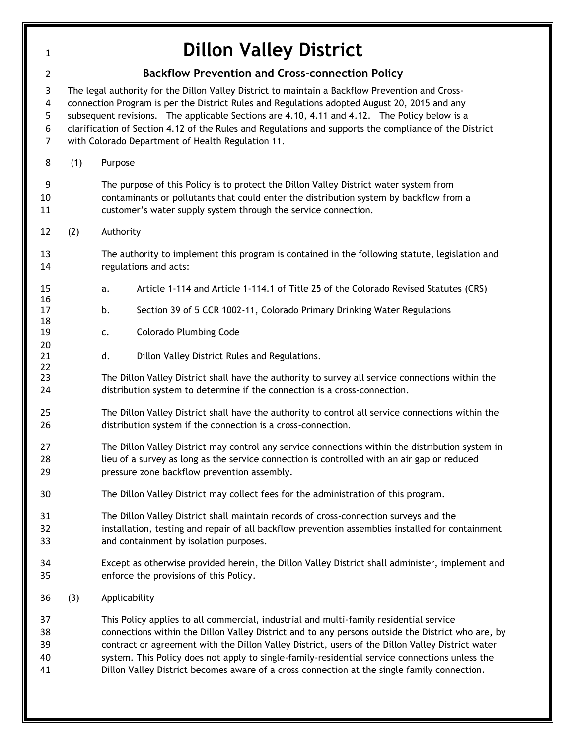| $\mathbf{1}$                       |                                                                                                                                                                                                                                                                                                                                                                                                                                                                | <b>Dillon Valley District</b>                                                                                                                                                                                                                                                                                                                                                                                                                                                                    |  |  |  |  |  |  |
|------------------------------------|----------------------------------------------------------------------------------------------------------------------------------------------------------------------------------------------------------------------------------------------------------------------------------------------------------------------------------------------------------------------------------------------------------------------------------------------------------------|--------------------------------------------------------------------------------------------------------------------------------------------------------------------------------------------------------------------------------------------------------------------------------------------------------------------------------------------------------------------------------------------------------------------------------------------------------------------------------------------------|--|--|--|--|--|--|
| $\overline{2}$                     | <b>Backflow Prevention and Cross-connection Policy</b>                                                                                                                                                                                                                                                                                                                                                                                                         |                                                                                                                                                                                                                                                                                                                                                                                                                                                                                                  |  |  |  |  |  |  |
| 3<br>4<br>5<br>6<br>$\overline{7}$ | The legal authority for the Dillon Valley District to maintain a Backflow Prevention and Cross-<br>connection Program is per the District Rules and Regulations adopted August 20, 2015 and any<br>subsequent revisions. The applicable Sections are 4.10, 4.11 and 4.12. The Policy below is a<br>clarification of Section 4.12 of the Rules and Regulations and supports the compliance of the District<br>with Colorado Department of Health Regulation 11. |                                                                                                                                                                                                                                                                                                                                                                                                                                                                                                  |  |  |  |  |  |  |
| 8                                  | (1)                                                                                                                                                                                                                                                                                                                                                                                                                                                            | Purpose                                                                                                                                                                                                                                                                                                                                                                                                                                                                                          |  |  |  |  |  |  |
| 9<br>10<br>11                      |                                                                                                                                                                                                                                                                                                                                                                                                                                                                | The purpose of this Policy is to protect the Dillon Valley District water system from<br>contaminants or pollutants that could enter the distribution system by backflow from a<br>customer's water supply system through the service connection.                                                                                                                                                                                                                                                |  |  |  |  |  |  |
| 12                                 | (2)                                                                                                                                                                                                                                                                                                                                                                                                                                                            | Authority                                                                                                                                                                                                                                                                                                                                                                                                                                                                                        |  |  |  |  |  |  |
| 13<br>14                           |                                                                                                                                                                                                                                                                                                                                                                                                                                                                | The authority to implement this program is contained in the following statute, legislation and<br>regulations and acts:                                                                                                                                                                                                                                                                                                                                                                          |  |  |  |  |  |  |
| 15                                 |                                                                                                                                                                                                                                                                                                                                                                                                                                                                | Article 1-114 and Article 1-114.1 of Title 25 of the Colorado Revised Statutes (CRS)<br>a.                                                                                                                                                                                                                                                                                                                                                                                                       |  |  |  |  |  |  |
| 16<br>17                           |                                                                                                                                                                                                                                                                                                                                                                                                                                                                | Section 39 of 5 CCR 1002-11, Colorado Primary Drinking Water Regulations<br>b.                                                                                                                                                                                                                                                                                                                                                                                                                   |  |  |  |  |  |  |
| 18<br>19                           |                                                                                                                                                                                                                                                                                                                                                                                                                                                                | <b>Colorado Plumbing Code</b><br>c.                                                                                                                                                                                                                                                                                                                                                                                                                                                              |  |  |  |  |  |  |
| 20<br>21<br>22                     |                                                                                                                                                                                                                                                                                                                                                                                                                                                                | d.<br>Dillon Valley District Rules and Regulations.                                                                                                                                                                                                                                                                                                                                                                                                                                              |  |  |  |  |  |  |
| 23<br>24                           |                                                                                                                                                                                                                                                                                                                                                                                                                                                                | The Dillon Valley District shall have the authority to survey all service connections within the<br>distribution system to determine if the connection is a cross-connection.                                                                                                                                                                                                                                                                                                                    |  |  |  |  |  |  |
| 25<br>26                           |                                                                                                                                                                                                                                                                                                                                                                                                                                                                | The Dillon Valley District shall have the authority to control all service connections within the<br>distribution system if the connection is a cross-connection.                                                                                                                                                                                                                                                                                                                                |  |  |  |  |  |  |
| 27<br>28<br>29                     |                                                                                                                                                                                                                                                                                                                                                                                                                                                                | The Dillon Valley District may control any service connections within the distribution system in<br>lieu of a survey as long as the service connection is controlled with an air gap or reduced<br>pressure zone backflow prevention assembly.                                                                                                                                                                                                                                                   |  |  |  |  |  |  |
| 30                                 |                                                                                                                                                                                                                                                                                                                                                                                                                                                                | The Dillon Valley District may collect fees for the administration of this program.                                                                                                                                                                                                                                                                                                                                                                                                              |  |  |  |  |  |  |
| 31<br>32<br>33                     |                                                                                                                                                                                                                                                                                                                                                                                                                                                                | The Dillon Valley District shall maintain records of cross-connection surveys and the<br>installation, testing and repair of all backflow prevention assemblies installed for containment<br>and containment by isolation purposes.                                                                                                                                                                                                                                                              |  |  |  |  |  |  |
| 34<br>35                           |                                                                                                                                                                                                                                                                                                                                                                                                                                                                | Except as otherwise provided herein, the Dillon Valley District shall administer, implement and<br>enforce the provisions of this Policy.                                                                                                                                                                                                                                                                                                                                                        |  |  |  |  |  |  |
| 36                                 | (3)                                                                                                                                                                                                                                                                                                                                                                                                                                                            | Applicability                                                                                                                                                                                                                                                                                                                                                                                                                                                                                    |  |  |  |  |  |  |
| 37<br>38<br>39<br>40<br>41         |                                                                                                                                                                                                                                                                                                                                                                                                                                                                | This Policy applies to all commercial, industrial and multi-family residential service<br>connections within the Dillon Valley District and to any persons outside the District who are, by<br>contract or agreement with the Dillon Valley District, users of the Dillon Valley District water<br>system. This Policy does not apply to single-family-residential service connections unless the<br>Dillon Valley District becomes aware of a cross connection at the single family connection. |  |  |  |  |  |  |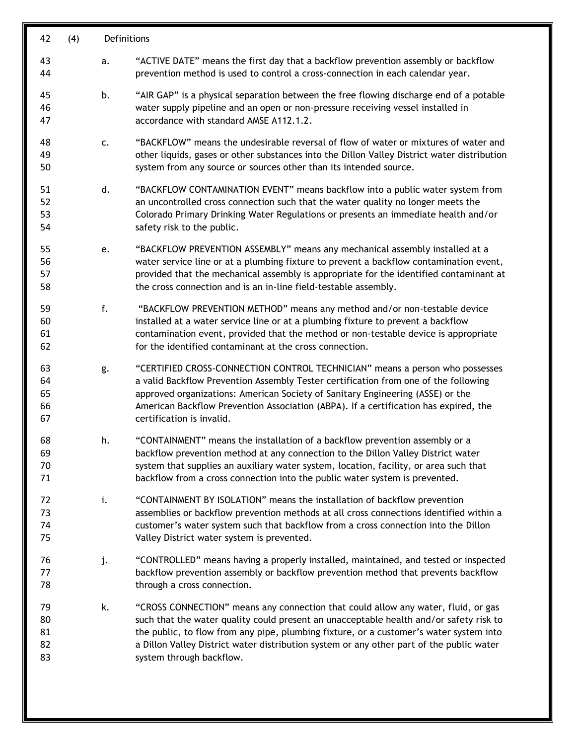| 42                         | (4) |    | Definitions                                                                                                                                                                                                                                                                                                                                                                                   |  |  |  |
|----------------------------|-----|----|-----------------------------------------------------------------------------------------------------------------------------------------------------------------------------------------------------------------------------------------------------------------------------------------------------------------------------------------------------------------------------------------------|--|--|--|
| 43<br>44                   |     | a. | "ACTIVE DATE" means the first day that a backflow prevention assembly or backflow<br>prevention method is used to control a cross-connection in each calendar year.                                                                                                                                                                                                                           |  |  |  |
| 45<br>46<br>47             |     | b. | "AIR GAP" is a physical separation between the free flowing discharge end of a potable<br>water supply pipeline and an open or non-pressure receiving vessel installed in<br>accordance with standard AMSE A112.1.2.                                                                                                                                                                          |  |  |  |
| 48<br>49<br>50             |     | c. | "BACKFLOW" means the undesirable reversal of flow of water or mixtures of water and<br>other liquids, gases or other substances into the Dillon Valley District water distribution<br>system from any source or sources other than its intended source.                                                                                                                                       |  |  |  |
| 51<br>52<br>53<br>54       |     | d. | "BACKFLOW CONTAMINATION EVENT" means backflow into a public water system from<br>an uncontrolled cross connection such that the water quality no longer meets the<br>Colorado Primary Drinking Water Regulations or presents an immediate health and/or<br>safety risk to the public.                                                                                                         |  |  |  |
| 55<br>56<br>57<br>58       |     | e. | "BACKFLOW PREVENTION ASSEMBLY" means any mechanical assembly installed at a<br>water service line or at a plumbing fixture to prevent a backflow contamination event,<br>provided that the mechanical assembly is appropriate for the identified contaminant at<br>the cross connection and is an in-line field-testable assembly.                                                            |  |  |  |
| 59<br>60<br>61<br>62       |     | f. | "BACKFLOW PREVENTION METHOD" means any method and/or non-testable device<br>installed at a water service line or at a plumbing fixture to prevent a backflow<br>contamination event, provided that the method or non-testable device is appropriate<br>for the identified contaminant at the cross connection.                                                                                |  |  |  |
| 63<br>64<br>65<br>66<br>67 |     | g. | "CERTIFIED CROSS-CONNECTION CONTROL TECHNICIAN" means a person who possesses<br>a valid Backflow Prevention Assembly Tester certification from one of the following<br>approved organizations: American Society of Sanitary Engineering (ASSE) or the<br>American Backflow Prevention Association (ABPA). If a certification has expired, the<br>certification is invalid.                    |  |  |  |
| 68<br>69<br>70<br>71       |     | h. | "CONTAINMENT" means the installation of a backflow prevention assembly or a<br>backflow prevention method at any connection to the Dillon Valley District water<br>system that supplies an auxiliary water system, location, facility, or area such that<br>backflow from a cross connection into the public water system is prevented.                                                       |  |  |  |
| 72<br>73<br>74<br>75       |     | i. | "CONTAINMENT BY ISOLATION" means the installation of backflow prevention<br>assemblies or backflow prevention methods at all cross connections identified within a<br>customer's water system such that backflow from a cross connection into the Dillon<br>Valley District water system is prevented.                                                                                        |  |  |  |
| 76<br>77<br>78             |     | j. | "CONTROLLED" means having a properly installed, maintained, and tested or inspected<br>backflow prevention assembly or backflow prevention method that prevents backflow<br>through a cross connection.                                                                                                                                                                                       |  |  |  |
| 79<br>80<br>81<br>82<br>83 |     | k. | "CROSS CONNECTION" means any connection that could allow any water, fluid, or gas<br>such that the water quality could present an unacceptable health and/or safety risk to<br>the public, to flow from any pipe, plumbing fixture, or a customer's water system into<br>a Dillon Valley District water distribution system or any other part of the public water<br>system through backflow. |  |  |  |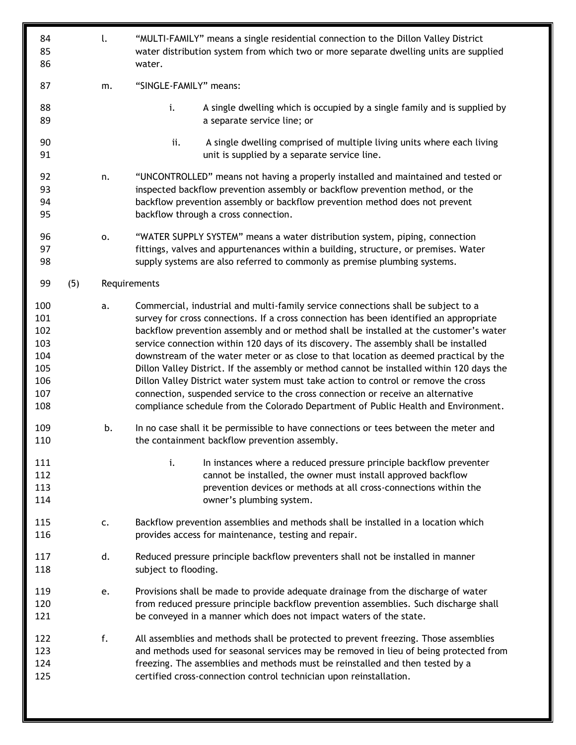| 84<br>85<br>86                                              |     | l. | "MULTI-FAMILY" means a single residential connection to the Dillon Valley District<br>water distribution system from which two or more separate dwelling units are supplied<br>water.                                                                                                                                                                                                                                                                                                                                                                                                                                                                                                                                                                                                                              |  |  |
|-------------------------------------------------------------|-----|----|--------------------------------------------------------------------------------------------------------------------------------------------------------------------------------------------------------------------------------------------------------------------------------------------------------------------------------------------------------------------------------------------------------------------------------------------------------------------------------------------------------------------------------------------------------------------------------------------------------------------------------------------------------------------------------------------------------------------------------------------------------------------------------------------------------------------|--|--|
| 87                                                          |     | m. | "SINGLE-FAMILY" means:                                                                                                                                                                                                                                                                                                                                                                                                                                                                                                                                                                                                                                                                                                                                                                                             |  |  |
| 88<br>89                                                    |     |    | i.<br>A single dwelling which is occupied by a single family and is supplied by<br>a separate service line; or                                                                                                                                                                                                                                                                                                                                                                                                                                                                                                                                                                                                                                                                                                     |  |  |
| 90<br>91                                                    |     |    | ii.<br>A single dwelling comprised of multiple living units where each living<br>unit is supplied by a separate service line.                                                                                                                                                                                                                                                                                                                                                                                                                                                                                                                                                                                                                                                                                      |  |  |
| 92<br>93<br>94<br>95                                        |     | n. | "UNCONTROLLED" means not having a properly installed and maintained and tested or<br>inspected backflow prevention assembly or backflow prevention method, or the<br>backflow prevention assembly or backflow prevention method does not prevent<br>backflow through a cross connection.                                                                                                                                                                                                                                                                                                                                                                                                                                                                                                                           |  |  |
| 96<br>97<br>98                                              |     | 0. | "WATER SUPPLY SYSTEM" means a water distribution system, piping, connection<br>fittings, valves and appurtenances within a building, structure, or premises. Water<br>supply systems are also referred to commonly as premise plumbing systems.                                                                                                                                                                                                                                                                                                                                                                                                                                                                                                                                                                    |  |  |
| 99                                                          | (5) |    | Requirements                                                                                                                                                                                                                                                                                                                                                                                                                                                                                                                                                                                                                                                                                                                                                                                                       |  |  |
| 100<br>101<br>102<br>103<br>104<br>105<br>106<br>107<br>108 |     | a. | Commercial, industrial and multi-family service connections shall be subject to a<br>survey for cross connections. If a cross connection has been identified an appropriate<br>backflow prevention assembly and or method shall be installed at the customer's water<br>service connection within 120 days of its discovery. The assembly shall be installed<br>downstream of the water meter or as close to that location as deemed practical by the<br>Dillon Valley District. If the assembly or method cannot be installed within 120 days the<br>Dillon Valley District water system must take action to control or remove the cross<br>connection, suspended service to the cross connection or receive an alternative<br>compliance schedule from the Colorado Department of Public Health and Environment. |  |  |
| 109<br>110                                                  |     | b. | In no case shall it be permissible to have connections or tees between the meter and<br>the containment backflow prevention assembly.                                                                                                                                                                                                                                                                                                                                                                                                                                                                                                                                                                                                                                                                              |  |  |
| 111<br>112<br>113<br>114                                    |     |    | i.<br>In instances where a reduced pressure principle backflow preventer<br>cannot be installed, the owner must install approved backflow<br>prevention devices or methods at all cross-connections within the<br>owner's plumbing system.                                                                                                                                                                                                                                                                                                                                                                                                                                                                                                                                                                         |  |  |
| 115<br>116                                                  |     | c. | Backflow prevention assemblies and methods shall be installed in a location which<br>provides access for maintenance, testing and repair.                                                                                                                                                                                                                                                                                                                                                                                                                                                                                                                                                                                                                                                                          |  |  |
| 117<br>118                                                  |     | d. | Reduced pressure principle backflow preventers shall not be installed in manner<br>subject to flooding.                                                                                                                                                                                                                                                                                                                                                                                                                                                                                                                                                                                                                                                                                                            |  |  |
| 119<br>120<br>121                                           |     | e. | Provisions shall be made to provide adequate drainage from the discharge of water<br>from reduced pressure principle backflow prevention assemblies. Such discharge shall<br>be conveyed in a manner which does not impact waters of the state.                                                                                                                                                                                                                                                                                                                                                                                                                                                                                                                                                                    |  |  |
| 122<br>123<br>124<br>125                                    |     | f. | All assemblies and methods shall be protected to prevent freezing. Those assemblies<br>and methods used for seasonal services may be removed in lieu of being protected from<br>freezing. The assemblies and methods must be reinstalled and then tested by a<br>certified cross-connection control technician upon reinstallation.                                                                                                                                                                                                                                                                                                                                                                                                                                                                                |  |  |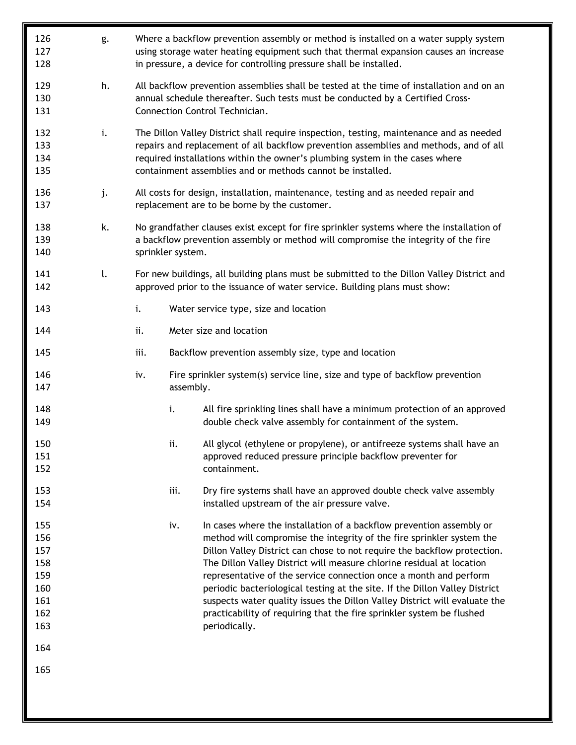| 126<br>127<br>128                                                  | g. |                                                                                                                                                                                                     |           | Where a backflow prevention assembly or method is installed on a water supply system<br>using storage water heating equipment such that thermal expansion causes an increase<br>in pressure, a device for controlling pressure shall be installed.                                                                                                                                                                                                                                                                                                                                                                             |
|--------------------------------------------------------------------|----|-----------------------------------------------------------------------------------------------------------------------------------------------------------------------------------------------------|-----------|--------------------------------------------------------------------------------------------------------------------------------------------------------------------------------------------------------------------------------------------------------------------------------------------------------------------------------------------------------------------------------------------------------------------------------------------------------------------------------------------------------------------------------------------------------------------------------------------------------------------------------|
| 129<br>130<br>131                                                  | h. |                                                                                                                                                                                                     |           | All backflow prevention assemblies shall be tested at the time of installation and on an<br>annual schedule thereafter. Such tests must be conducted by a Certified Cross-<br>Connection Control Technician.                                                                                                                                                                                                                                                                                                                                                                                                                   |
| 132<br>133<br>134<br>135                                           | i. |                                                                                                                                                                                                     |           | The Dillon Valley District shall require inspection, testing, maintenance and as needed<br>repairs and replacement of all backflow prevention assemblies and methods, and of all<br>required installations within the owner's plumbing system in the cases where<br>containment assemblies and or methods cannot be installed.                                                                                                                                                                                                                                                                                                 |
| 136<br>137                                                         | j. | All costs for design, installation, maintenance, testing and as needed repair and<br>replacement are to be borne by the customer.                                                                   |           |                                                                                                                                                                                                                                                                                                                                                                                                                                                                                                                                                                                                                                |
| 138<br>139<br>140                                                  | k. | No grandfather clauses exist except for fire sprinkler systems where the installation of<br>a backflow prevention assembly or method will compromise the integrity of the fire<br>sprinkler system. |           |                                                                                                                                                                                                                                                                                                                                                                                                                                                                                                                                                                                                                                |
| 141<br>142                                                         | l. | For new buildings, all building plans must be submitted to the Dillon Valley District and<br>approved prior to the issuance of water service. Building plans must show:                             |           |                                                                                                                                                                                                                                                                                                                                                                                                                                                                                                                                                                                                                                |
| 143                                                                |    | i.                                                                                                                                                                                                  |           | Water service type, size and location                                                                                                                                                                                                                                                                                                                                                                                                                                                                                                                                                                                          |
| 144                                                                |    | ii.                                                                                                                                                                                                 |           | Meter size and location                                                                                                                                                                                                                                                                                                                                                                                                                                                                                                                                                                                                        |
| 145                                                                |    | iii.                                                                                                                                                                                                |           | Backflow prevention assembly size, type and location                                                                                                                                                                                                                                                                                                                                                                                                                                                                                                                                                                           |
| 146<br>147                                                         |    | iv.                                                                                                                                                                                                 | assembly. | Fire sprinkler system(s) service line, size and type of backflow prevention                                                                                                                                                                                                                                                                                                                                                                                                                                                                                                                                                    |
| 148<br>149                                                         |    |                                                                                                                                                                                                     | i.        | All fire sprinkling lines shall have a minimum protection of an approved<br>double check valve assembly for containment of the system.                                                                                                                                                                                                                                                                                                                                                                                                                                                                                         |
| 150<br>151<br>152                                                  |    |                                                                                                                                                                                                     | ii.       | All glycol (ethylene or propylene), or antifreeze systems shall have an<br>approved reduced pressure principle backflow preventer for<br>containment.                                                                                                                                                                                                                                                                                                                                                                                                                                                                          |
| 153<br>154                                                         |    |                                                                                                                                                                                                     | iii.      | Dry fire systems shall have an approved double check valve assembly<br>installed upstream of the air pressure valve.                                                                                                                                                                                                                                                                                                                                                                                                                                                                                                           |
| 155<br>156<br>157<br>158<br>159<br>160<br>161<br>162<br>163<br>164 |    |                                                                                                                                                                                                     | iv.       | In cases where the installation of a backflow prevention assembly or<br>method will compromise the integrity of the fire sprinkler system the<br>Dillon Valley District can chose to not require the backflow protection.<br>The Dillon Valley District will measure chlorine residual at location<br>representative of the service connection once a month and perform<br>periodic bacteriological testing at the site. If the Dillon Valley District<br>suspects water quality issues the Dillon Valley District will evaluate the<br>practicability of requiring that the fire sprinkler system be flushed<br>periodically. |
| 165                                                                |    |                                                                                                                                                                                                     |           |                                                                                                                                                                                                                                                                                                                                                                                                                                                                                                                                                                                                                                |
|                                                                    |    |                                                                                                                                                                                                     |           |                                                                                                                                                                                                                                                                                                                                                                                                                                                                                                                                                                                                                                |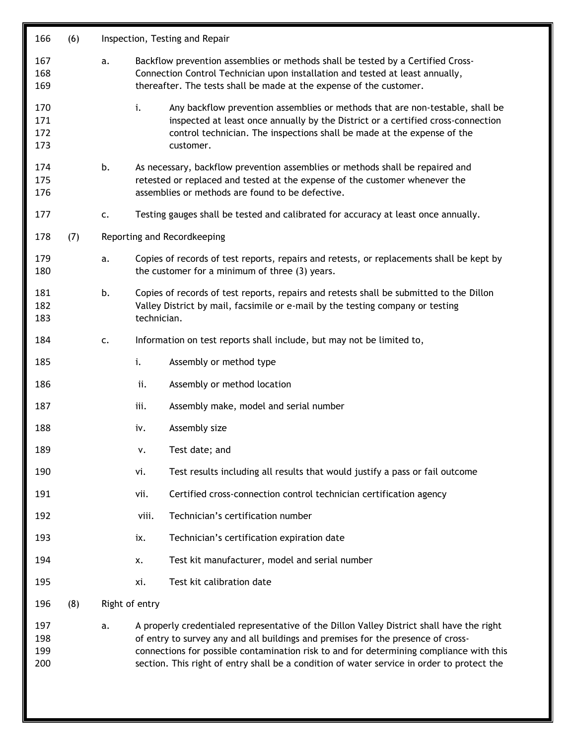| 166                      | (6) |    | Inspection, Testing and Repair                                                                                                                                                                                                                                                                                                                                         |  |  |
|--------------------------|-----|----|------------------------------------------------------------------------------------------------------------------------------------------------------------------------------------------------------------------------------------------------------------------------------------------------------------------------------------------------------------------------|--|--|
| 167<br>168<br>169        |     | a. | Backflow prevention assemblies or methods shall be tested by a Certified Cross-<br>Connection Control Technician upon installation and tested at least annually,<br>thereafter. The tests shall be made at the expense of the customer.                                                                                                                                |  |  |
| 170<br>171<br>172<br>173 |     |    | i.<br>Any backflow prevention assemblies or methods that are non-testable, shall be<br>inspected at least once annually by the District or a certified cross-connection<br>control technician. The inspections shall be made at the expense of the<br>customer.                                                                                                        |  |  |
| 174<br>175<br>176        |     | b. | As necessary, backflow prevention assemblies or methods shall be repaired and<br>retested or replaced and tested at the expense of the customer whenever the<br>assemblies or methods are found to be defective.                                                                                                                                                       |  |  |
| 177                      |     | c. | Testing gauges shall be tested and calibrated for accuracy at least once annually.                                                                                                                                                                                                                                                                                     |  |  |
| 178                      | (7) |    | Reporting and Recordkeeping                                                                                                                                                                                                                                                                                                                                            |  |  |
| 179<br>180               |     | a. | Copies of records of test reports, repairs and retests, or replacements shall be kept by<br>the customer for a minimum of three (3) years.                                                                                                                                                                                                                             |  |  |
| 181<br>182<br>183        |     | b. | Copies of records of test reports, repairs and retests shall be submitted to the Dillon<br>Valley District by mail, facsimile or e-mail by the testing company or testing<br>technician.                                                                                                                                                                               |  |  |
| 184                      |     | c. | Information on test reports shall include, but may not be limited to,                                                                                                                                                                                                                                                                                                  |  |  |
| 185                      |     |    | i.<br>Assembly or method type                                                                                                                                                                                                                                                                                                                                          |  |  |
| 186                      |     |    | ii.<br>Assembly or method location                                                                                                                                                                                                                                                                                                                                     |  |  |
| 187                      |     |    | Assembly make, model and serial number<br>iii.                                                                                                                                                                                                                                                                                                                         |  |  |
| 188                      |     |    | Assembly size<br>iv.                                                                                                                                                                                                                                                                                                                                                   |  |  |
| 189                      |     |    | Test date; and<br>v.                                                                                                                                                                                                                                                                                                                                                   |  |  |
| 190                      |     |    | vi.<br>Test results including all results that would justify a pass or fail outcome                                                                                                                                                                                                                                                                                    |  |  |
| 191                      |     |    | Certified cross-connection control technician certification agency<br>vii.                                                                                                                                                                                                                                                                                             |  |  |
| 192                      |     |    | Technician's certification number<br>viii.                                                                                                                                                                                                                                                                                                                             |  |  |
| 193                      |     |    | Technician's certification expiration date<br>ix.                                                                                                                                                                                                                                                                                                                      |  |  |
| 194                      |     |    | Test kit manufacturer, model and serial number<br>x.                                                                                                                                                                                                                                                                                                                   |  |  |
| 195                      |     |    | Test kit calibration date<br>xi.                                                                                                                                                                                                                                                                                                                                       |  |  |
| 196                      | (8) |    | Right of entry                                                                                                                                                                                                                                                                                                                                                         |  |  |
| 197<br>198<br>199<br>200 |     | a. | A properly credentialed representative of the Dillon Valley District shall have the right<br>of entry to survey any and all buildings and premises for the presence of cross-<br>connections for possible contamination risk to and for determining compliance with this<br>section. This right of entry shall be a condition of water service in order to protect the |  |  |